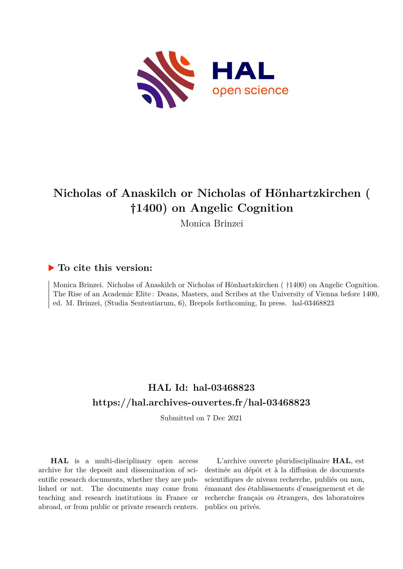

# **Nicholas of Anaskilch or Nicholas of Hönhartzkirchen ( †1400) on Angelic Cognition**

Monica Brinzei

## **To cite this version:**

Monica Brinzei. Nicholas of Anaskilch or Nicholas of Hönhartzkirchen ( †1400) on Angelic Cognition. The Rise of an Academic Elite : Deans, Masters, and Scribes at the University of Vienna before 1400, ed. M. Brinzei, (Studia Sententiarum, 6), Brepols forthcoming, In press. hal-03468823

## **HAL Id: hal-03468823 <https://hal.archives-ouvertes.fr/hal-03468823>**

Submitted on 7 Dec 2021

**HAL** is a multi-disciplinary open access archive for the deposit and dissemination of scientific research documents, whether they are published or not. The documents may come from teaching and research institutions in France or abroad, or from public or private research centers.

L'archive ouverte pluridisciplinaire **HAL**, est destinée au dépôt et à la diffusion de documents scientifiques de niveau recherche, publiés ou non, émanant des établissements d'enseignement et de recherche français ou étrangers, des laboratoires publics ou privés.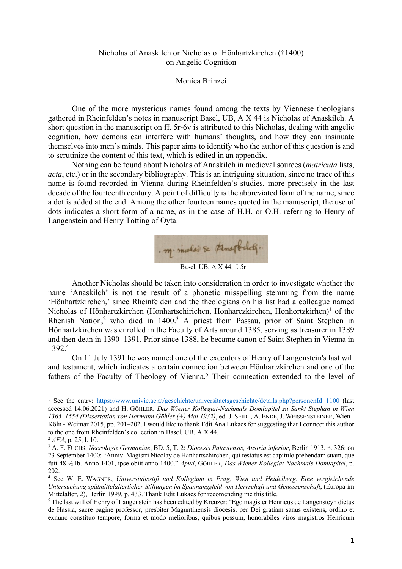### Nicholas of Anaskilch or Nicholas of Hönhartzkirchen (†1400) on Angelic Cognition

#### Monica Brinzei

One of the more mysterious names found among the texts by Viennese theologians gathered in Rheinfelden's notes in manuscript Basel, UB, A X 44 is Nicholas of Anaskilch. A short question in the manuscript on ff. 5r-6v is attributed to this Nicholas, dealing with angelic cognition, how demons can interfere with humans' thoughts, and how they can insinuate themselves into men's minds. This paper aims to identify who the author of this question is and to scrutinize the content of this text, which is edited in an appendix.

Nothing can be found about Nicholas of Anaskilch in medieval sources (*matricula* lists, *acta*, etc.) or in the secondary bibliography. This is an intriguing situation, since no trace of this name is found recorded in Vienna during Rheinfelden's studies, more precisely in the last decade of the fourteenth century. A point of difficulty is the abbreviated form of the name, since a dot is added at the end. Among the other fourteen names quoted in the manuscript, the use of dots indicates a short form of a name, as in the case of H.H. or O.H. referring to Henry of Langenstein and Henry Totting of Oyta.



Another Nicholas should be taken into consideration in order to investigate whether the name 'Anaskilch' is not the result of a phonetic misspelling stemming from the name 'Hönhartzkirchen,' since Rheinfelden and the theologians on his list had a colleague named Nicholas of Hönhartzkirchen (Honhartschirichen, Honharczkirchen, Honhortzkirhen)<sup>1</sup> of the Rhenish Nation,<sup>2</sup> who died in 1400.<sup>3</sup> A priest from Passau, prior of Saint Stephen in Hönhartzkirchen was enrolled in the Faculty of Arts around 1385, serving as treasurer in 1389 and then dean in 1390–1391. Prior since 1388, he became canon of Saint Stephen in Vienna in 1392.4

On 11 July 1391 he was named one of the executors of Henry of Langenstein's last will and testament, which indicates a certain connection between Hönhartzkirchen and one of the fathers of the Faculty of Theology of Vienna.<sup>5</sup> Their connection extended to the level of

<sup>&</sup>lt;sup>1</sup> See the entry: https://www.univie.ac.at/geschichte/universitaetsgeschichte/details.php?personenId=1100 (last accessed 14.06.2021) and H. GÖHLER, *Das Wiener Kollegiat-Nachmals Domlapitel zu Sankt Stephan in Wien 1365–1554 (Dissertation von Hermann Göhler (+) Mai 1932)*, ed. J. SEIDL, A. ENDE,J. WEISSENSTEINER, Wien - Köln - Weimar 2015, pp. 201–202. I would like to thank Edit Ana Lukacs for suggesting that I connect this author to the one from Rheinfelden's collection in Basel, UB, A X 44.

<sup>2</sup> *AFA*, p. 25, l. 10.

<sup>3</sup> A. F. FUCHS, *Necrologiz Germaniae*, BD. 5, T. 2: *Diocesis Pataviensis, Austria inferior*, Berlin 1913, p. 326: on 23 September 1400: "Anniv. Magistri Nicolay de Hanhartschirchen, qui testatus est capitulo prebendam suam, que fuit 48 ½ lb. Anno 1401, ipse obiit anno 1400." *Apud*, GÖHLER, *Das Wiener Kollegiat-Nachmals Domlapitel*, p. 202.

<sup>4</sup> See W. E. WAGNER, *Universitätsstift und Kollegium in Prag, Wien und Heidelberg. Eine vergleichende Untersuchung spätmittelalterlicher Stiftungen im Spannungsfeld von Herrschaft und Genossenschaft*, (Europa im Mittelalter, 2), Berlin 1999, p. 433. Thank Edit Lukacs for recomending me this title.

<sup>&</sup>lt;sup>5</sup> The last will of Henry of Langenstein has been edited by Kreuzer: "Ego magister Henricus de Langensteyn dictus de Hassia, sacre pagine professor, presbiter Maguntinensis diocesis, per Dei gratiam sanus existens, ordino et exnunc constituo tempore, forma et modo melioribus, quibus possum, honorabiles viros magistros Henricum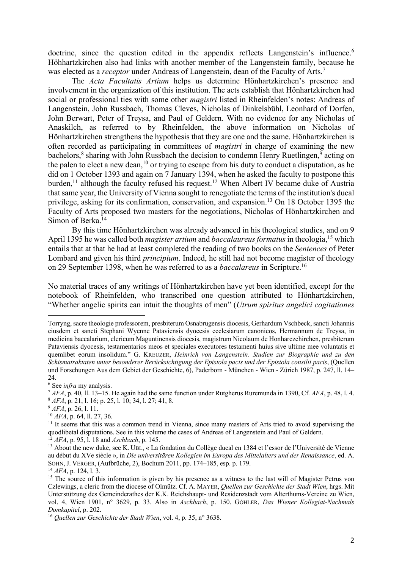doctrine, since the question edited in the appendix reflects Langenstein's influence.<sup>6</sup> Höhhartzkirchen also had links with another member of the Langenstein family, because he was elected as a *receptor* under Andreas of Langenstein, dean of the Faculty of Arts.7

The *Acta Facultatis Artium* helps us determine Hönhartzkirchen's presence and involvement in the organization of this institution. The acts establish that Hönhartzkirchen had social or professional ties with some other *magistri* listed in Rheinfelden's notes: Andreas of Langenstein, John Russbach, Thomas Cleves, Nicholas of Dinkelsbühl, Leonhard of Dorfen, John Berwart, Peter of Treysa, and Paul of Geldern. With no evidence for any Nicholas of Anaskilch, as referred to by Rheinfelden, the above information on Nicholas of Hönhartzkirchen strengthens the hypothesis that they are one and the same. Hönhartzkirchen is often recorded as participating in committees of *magistri* in charge of examining the new bachelors, $\frac{8}{3}$  sharing with John Russbach the decision to condemn Henry Ruetlingen, $\frac{9}{9}$  acting on the palen to elect a new dean,  $10$  or trying to escape from his duty to conduct a disputation, as he did on 1 October 1393 and again on 7 January 1394, when he asked the faculty to postpone this burden,<sup>11</sup> although the faculty refused his request.<sup>12</sup> When Albert IV became duke of Austria that same year, the University of Vienna sought to renegotiate the terms of the institution's ducal privilege, asking for its confirmation, conservation, and expansion.<sup>13</sup> On 18 October 1395 the Faculty of Arts proposed two masters for the negotiations, Nicholas of Hönhartzkirchen and Simon of Berka.<sup>14</sup>

By this time Hönhartzkirchen was already advanced in his theological studies, and on 9 April 1395 he was called both *magister artium* and *baccalaureus formatus* in theologia,15 which entails that at that he had at least completed the reading of two books on the *Sentences* of Peter Lombard and given his third *principium*. Indeed, he still had not become magister of theology on 29 September 1398, when he was referred to as a *baccalareus* in Scripture.16

No material traces of any writings of Hönhartzkirchen have yet been identified, except for the notebook of Rheinfelden, who transcribed one question attributed to Hönhartzkirchen, "Whether angelic spirits can intuit the thoughts of men" (*Utrum spiritus angelici cogitationes* 

<sup>10</sup> *AFA*, p. 64, ll. 27, 36.

Torryng, sacre theologie professorem, presbiterum Osnabrugensis diocesis, Gerhardum Vschbeck, sancti Johannis eiusdem et sancti Stephani Wyenne Pataviensis dyocesis ecclesiarum canonicos, Hermannum de Treysa, in medicina baccalarium, clericum Maguntinensis diocesis, magistrum Nicolaum de Honharczchirchen, presbiterum Pataviensis dyocesis, testamentarios meos et speciales executores testamenti huius sive ultime mee voluntatis et quemlibet eorum insolidum." G. KREUZER, *Heinrich von Langenstein. Studien zur Biographie und zu den Schismatraktaten unter besonderer Berücksichtigung der Epistola pacis und der Epistola consilii pacis*, (Quellen und Forschungen Aus dem Gebiet der Geschichte, 6), Paderborn - München - Wien - Zürich 1987, p. 247, ll. 14– 24.

<sup>6</sup> See *infra* my analysis.

<sup>7</sup> *AFA*, p. 40, ll. 13–15. He again had the same function under Rutgherus Ruremunda in 1390, Cf. *AFA*, p. 48, l. 4. <sup>8</sup> *AFA*, p. 21, l. 16; p. 25, l. 10; 34, l. 27; 41, 8.

<sup>9</sup> *AFA*, p. 26, l. 11.

<sup>&</sup>lt;sup>11</sup> It seems that this was a common trend in Vienna, since many masters of Arts tried to avoid supervising the quodlibetal disputations. See in this volume the cases of Andreas of Langenstein and Paul of Geldern.

<sup>12</sup> *AFA*, p. 95, l. 18 and *Aschbach*, p. 145.

<sup>&</sup>lt;sup>13</sup> About the new duke, see K. UBL, « La fondation du Collège ducal en 1384 et l'essor de l'Université de Vienne au début du XVe siècle », in *Die universitären Kollegien im Europa des Mittelalters und der Renaissance*, ed. A. SOHN, J. VERGER, (Aufbrüche, 2), Bochum 2011, pp. 174–185, esp. p. 179.

<sup>14</sup> *AFA*, p. 124, l. 3.

<sup>&</sup>lt;sup>15</sup> The source of this information is given by his presence as a witness to the last will of Magister Petrus von Czlewings, a cleric from the diocese of Olmütz. Cf. A. MAYER, *Quellen zur Geschichte der Stadt Wien*, hrgs. Mit Unterstützung des Gemeinderathes der K.K. Reichshaupt- und Residenzstadt vom Alterthums-Vereine zu Wien, vol. 4, Wien 1901, n° 3629, p. 33. Also in *Aschbach*, p. 150. GÖHLER, *Das Wiener Kollegiat-Nachmals Domkapitel*, p. 202.

<sup>16</sup> *Quellen zur Geschichte der Stadt Wien*, vol. 4, p. 35, n° 3638.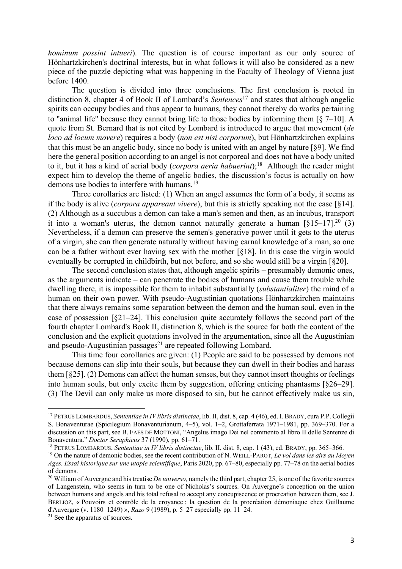*hominum possint intueri*). The question is of course important as our only source of Hönhartzkirchen's doctrinal interests, but in what follows it will also be considered as a new piece of the puzzle depicting what was happening in the Faculty of Theology of Vienna just before 1400.

The question is divided into three conclusions. The first conclusion is rooted in distinction 8, chapter 4 of Book II of Lombard's *Sentences*<sup>17</sup> and states that although angelic spirits can occupy bodies and thus appear to humans, they cannot thereby do works pertaining to "animal life" because they cannot bring life to those bodies by informing them [§ 7–10]. A quote from St. Bernard that is not cited by Lombard is introduced to argue that movement (*de loco ad locum movere*) requires a body (*non est nisi corporum*), but Hönhartzkirchen explains that this must be an angelic body, since no body is united with an angel by nature [§9]. We find here the general position according to an angel is not corporeal and does not have a body united to it, but it has a kind of aerial body (*corpora aeria habuerint*); 18 Although the reader might expect him to develop the theme of angelic bodies, the discussion's focus is actually on how demons use bodies to interfere with humans.<sup>19</sup>

Three corollaries are listed: (1) When an angel assumes the form of a body, it seems as if the body is alive (*corpora appareant vivere*), but this is strictly speaking not the case [§14]. (2) Although as a succubus a demon can take a man's semen and then, as an incubus, transport it into a woman's uterus, the demon cannot naturally generate a human  $\left[\S15-17\right]$ .<sup>20</sup> (3) Nevertheless, if a demon can preserve the semen's generative power until it gets to the uterus of a virgin, she can then generate naturally without having carnal knowledge of a man, so one can be a father without ever having sex with the mother [§18]. In this case the virgin would eventually be corrupted in childbirth, but not before, and so she would still be a virgin [§20].

The second conclusion states that, although angelic spirits – presumably demonic ones, as the arguments indicate – can penetrate the bodies of humans and cause them trouble while dwelling there, it is impossible for them to inhabit substantially (*substantialiter*) the mind of a human on their own power. With pseudo-Augustinian quotations Hönhartzkirchen maintains that there always remains some separation between the demon and the human soul, even in the case of possession [§21–24]. This conclusion quite accurately follows the second part of the fourth chapter Lombard's Book II, distinction 8, which is the source for both the content of the conclusion and the explicit quotations involved in the argumentation, since all the Augustinian and pseudo-Augustinian passages $^{21}$  are repeated following Lombard.

This time four corollaries are given: (1) People are said to be possessed by demons not because demons can slip into their souls, but because they can dwell in their bodies and harass them [§25]. (2) Demons can affect the human senses, but they cannot insert thoughts or feelings into human souls, but only excite them by suggestion, offering enticing phantasms [§26–29]. (3) The Devil can only make us more disposed to sin, but he cannot effectively make us sin,

<sup>17</sup> PETRUS LOMBARDUS, *Sententiae in IV libris distinctae*, lib. II, dist. 8, cap. 4 (46), ed. I.BRADY, cura P.P. Collegii S. Bonaventurae (Spicilegium Bonaventurianum, 4–5), vol. 1–2, Grottaferrata 1971–1981, pp. 369–370. For a discussion on this part, see B. FAES DE MOTTONI, "Angelus imago Dei nel commento al libro II delle Sentenze di Bonaventura." *Doctor Seraphicus* 37 (1990), pp. 61–71.

<sup>18</sup> PETRUS LOMBARDUS, *Sententiae in IV libris distinctae*, lib. II, dist. 8, cap. 1 (43), ed. BRADY, pp. 365–366.

<sup>19</sup> On the nature of demonic bodies, see the recent contribution of N. WEILL-PAROT, *Le vol dans les airs au Moyen Ages. Essai historique sur une utopie scientifique*, Paris 2020, pp. 67–80, especially pp. 77–78 on the aerial bodies of demons.

<sup>20</sup> William of Auvergne and his treatise *De universo,* namely the third part, chapter 25, is one of the favorite sources of Langenstein, who seems in turn to be one of Nicholas's sources. On Auvergne's conception on the union between humans and angels and his total refusal to accept any concupiscence or procreation between them, see J. BERLIOZ, « Pouvoirs et contrôle de la croyance : la question de la procréation démoniaque chez Guillaume d'Auvergne (v. 1180–1249) », *Razo* 9 (1989), p. 5–27 especially pp. 11–24.

<sup>&</sup>lt;sup>21</sup> See the apparatus of sources.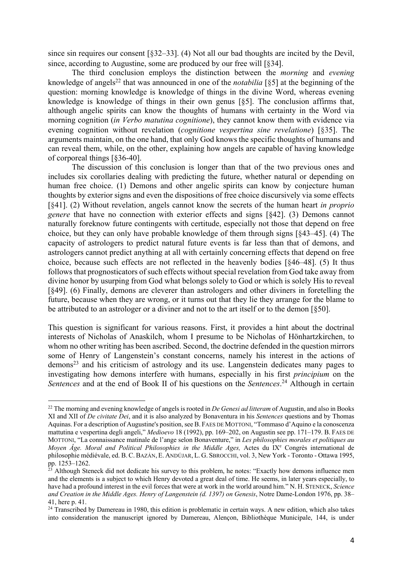since sin requires our consent [§32–33]. (4) Not all our bad thoughts are incited by the Devil, since, according to Augustine, some are produced by our free will [§34].

The third conclusion employs the distinction between the *morning* and *evening* knowledge of angels<sup>22</sup> that was announced in one of the *notabilia* [§5] at the beginning of the question: morning knowledge is knowledge of things in the divine Word, whereas evening knowledge is knowledge of things in their own genus [§5]. The conclusion affirms that, although angelic spirits can know the thoughts of humans with certainty in the Word via morning cognition (*in Verbo matutina cognitione*), they cannot know them with evidence via evening cognition without revelation (*cognitione vespertina sine revelatione*) [§35]. The arguments maintain, on the one hand, that only God knows the specific thoughts of humans and can reveal them, while, on the other, explaining how angels are capable of having knowledge of corporeal things [§36-40].

The discussion of this conclusion is longer than that of the two previous ones and includes six corollaries dealing with predicting the future, whether natural or depending on human free choice. (1) Demons and other angelic spirits can know by conjecture human thoughts by exterior signs and even the dispositions of free choice discursively via some effects [§41]. (2) Without revelation, angels cannot know the secrets of the human heart *in proprio genere* that have no connection with exterior effects and signs [§42]. (3) Demons cannot naturally foreknow future contingents with certitude, especially not those that depend on free choice, but they can only have probable knowledge of them through signs [§43–45]. (4) The capacity of astrologers to predict natural future events is far less than that of demons, and astrologers cannot predict anything at all with certainly concerning effects that depend on free choice, because such effects are not reflected in the heavenly bodies [§46–48]. (5) It thus follows that prognosticators of such effects without special revelation from God take away from divine honor by usurping from God what belongs solely to God or which is solely His to reveal [§49]. (6) Finally, demons are cleverer than astrologers and other diviners in foretelling the future, because when they are wrong, or it turns out that they lie they arrange for the blame to be attributed to an astrologer or a diviner and not to the art itself or to the demon [§50].

This question is significant for various reasons. First, it provides a hint about the doctrinal interests of Nicholas of Anaskilch, whom I presume to be Nicholas of Hönhartzkirchen, to whom no other writing has been ascribed. Second, the doctrine defended in the question mirrors some of Henry of Langenstein's constant concerns, namely his interest in the actions of  $d$ emons<sup>23</sup> and his criticism of astrology and its use. Langenstein dedicates many pages to investigating how demons interfere with humans, especially in his first *principium* on the *Sentences* and at the end of Book II of his questions on the *Sentences*. <sup>24</sup> Although in certain

<sup>22</sup> The morning and evening knowledge of angels is rooted in *De Genesi ad litteram* of Augustin, and also in Books XI and XII of *De civitate Dei*, and it is also analyzed by Bonaventura in his *Sentences* questions and by Thomas Aquinas. For a description of Augustine's position, see B. FAES DE MOTTONI, "Tommaso d'Aquino e la conoscenza mattutina e vespertina degli angeli," *Medioevo* 18 (1992), pp. 169–202, on Augustin see pp. 171–179. B. FAES DE MOTTONI, "La connaissance matinale de l'ange selon Bonaventure," in *Les philosophies morales et politiques au Moyen Âge. Moral and Political Philosophies in the Middle Ages, Actes du IX<sup>e</sup> Congrès international de* philosophie médiévale, ed. B.C.BAZÁN, E. ANDÚJAR, L. G. SBROCCHI, vol. 3, New York - Toronto - Ottawa 1995, pp. 1253–1262.

Although Steneck did not dedicate his survey to this problem, he notes: "Exactly how demons influence men and the elements is a subject to which Henry devoted a great deal of time. He seems, in later years especially, to have had a profound interest in the evil forces that were at work in the world around him." N. H. STENECK, *Science and Creation in the Middle Ages. Henry of Langenstein (d. 1397) on Genesis*, Notre Dame-London 1976, pp. 38– 41, here p. 41.

<sup>&</sup>lt;sup>24</sup> Transcribed by Damereau in 1980, this edition is problematic in certain ways. A new edition, which also takes into consideration the manuscript ignored by Damereau, Alençon, Bibliothèque Municipale, 144, is under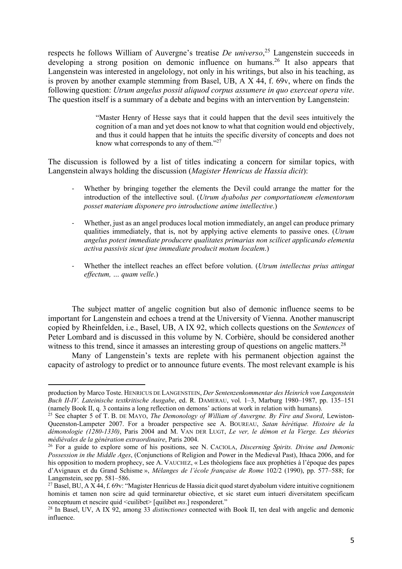respects he follows William of Auvergne's treatise *De universo*, <sup>25</sup> Langenstein succeeds in developing a strong position on demonic influence on humans.<sup>26</sup> It also appears that Langenstein was interested in angelology, not only in his writings, but also in his teaching, as is proven by another example stemming from Basel, UB, A X 44, f. 69v, where on finds the following question: *Utrum angelus possit aliquod corpus assumere in quo exerceat opera vite*. The question itself is a summary of a debate and begins with an intervention by Langenstein:

> "Master Henry of Hesse says that it could happen that the devil sees intuitively the cognition of a man and yet does not know to what that cognition would end objectively, and thus it could happen that he intuits the specific diversity of concepts and does not know what corresponds to any of them."<sup>27</sup>

The discussion is followed by a list of titles indicating a concern for similar topics, with Langenstein always holding the discussion (*Magister Henricus de Hassia dicit*):

- Whether by bringing together the elements the Devil could arrange the matter for the introduction of the intellective soul. (*Utrum dyabolus per comportationem elementorum posset materiam disponere pro introductione anime intellective*.)
- Whether, just as an angel produces local motion immediately, an angel can produce primary qualities immediately, that is, not by applying active elements to passive ones. (*Utrum angelus potest immediate producere qualitates primarias non scilicet applicando elementa activa passivis sicut ipse immediate producit motum localem*.)
- Whether the intellect reaches an effect before volution. (*Utrum intellectus prius attingat effectum, … quam velle*.)

The subject matter of angelic cognition but also of demonic influence seems to be important for Langenstein and echoes a trend at the University of Vienna. Another manuscript copied by Rheinfelden, i.e., Basel, UB, A IX 92, which collects questions on the *Sentences* of Peter Lombard and is discussed in this volume by N. Corbière, should be considered another witness to this trend, since it amasses an interesting group of questions on angelic matters.<sup>28</sup>

Many of Langenstein's texts are replete with his permanent objection against the capacity of astrology to predict or to announce future events. The most relevant example is his

production by Marco Toste. HENRICUS DE LANGENSTEIN, *Der Sentenzenkommentar des Heinrich von Langenstein Buch II-IV. Lateinische textkritische Ausgabe*, ed. R. DAMERAU, vol. 1–3, Marburg 1980–1987, pp. 135–151 (namely Book II, q. 3 contains a long reflection on demons' actions at work in relation with humans).

<sup>25</sup> See chapter 5 of T. B. DE MAYO, *The Demonology of William of Auvergne. By Fire and Sword*, Lewiston-Queenston-Lampeter 2007. For a broader perspective see A. BOUREAU, *Satan hérétique. Histoire de la démonologie (1280-1330)*, Paris 2004 and M. VAN DER LUGT, *Le ver, le démon et la Vierge. Les théories médiévales de la génération extraordinaire*, Paris 2004.

<sup>26</sup> For a guide to explore some of his positions, see N. CACIOLA, *Discerning Spirits. Divine and Demonic Possession in the Middle Ages*, (Conjunctions of Religion and Power in the Medieval Past), Ithaca 2006, and for his opposition to modern prophecy, see A. VAUCHEZ, « Les théologiens face aux prophéties à l'époque des papes d'Avignaux et du Grand Schisme », *Mélanges de l'école française de Rome* 102/2 (1990), pp. 577–588; for Langenstein, see pp. 581–586.

 $^{27}$  Basel, BU, A X 44, f. 69v: "Magister Henricus de Hassia dicit quod staret dyabolum videre intuitive cognitionem hominis et tamen non scire ad quid terminaretur obiective, et sic staret eum intueri diversitatem specificam conceptuum et nescire quid <cuilibet> [quilibet *ms*.] responderet."

<sup>28</sup> In Basel, UV, A IX 92, among 33 *distinctiones* connected with Book II, ten deal with angelic and demonic influence.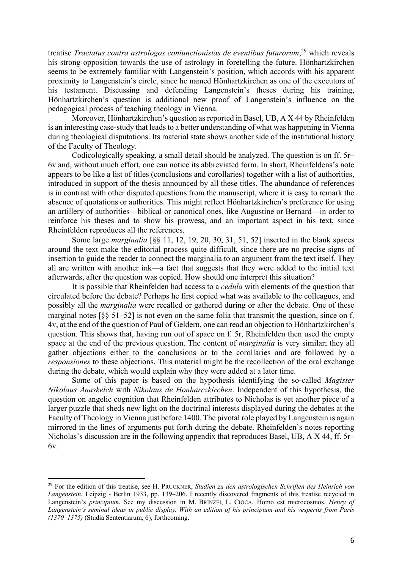treatise *Tractatus contra astrologos coniunctionistas de eventibus futurorum*, <sup>29</sup> which reveals his strong opposition towards the use of astrology in foretelling the future. Hönhartzkirchen seems to be extremely familiar with Langenstein's position, which accords with his apparent proximity to Langenstein's circle, since he named Hönhartzkirchen as one of the executors of his testament. Discussing and defending Langenstein's theses during his training, Hönhartzkirchen's question is additional new proof of Langenstein's influence on the pedagogical process of teaching theology in Vienna.

Moreover, Hönhartzkirchen's question as reported in Basel, UB, A X 44 by Rheinfelden is an interesting case-study that leads to a better understanding of what was happening in Vienna during theological disputations. Its material state shows another side of the institutional history of the Faculty of Theology.

Codicologically speaking, a small detail should be analyzed. The question is on ff. 5r– 6v and, without much effort, one can notice its abbreviated form. In short, Rheinfeldens's note appears to be like a list of titles (conclusions and corollaries) together with a list of authorities, introduced in support of the thesis announced by all these titles. The abundance of references is in contrast with other disputed questions from the manuscript, where it is easy to remark the absence of quotations or authorities. This might reflect Hönhartzkirchen's preference for using an artillery of authorities—biblical or canonical ones, like Augustine or Bernard—in order to reinforce his theses and to show his prowess, and an important aspect in his text, since Rheinfelden reproduces all the references.

Some large *marginalia* [§§ 11, 12, 19, 20, 30, 31, 51, 52] inserted in the blank spaces around the text make the editorial process quite difficult, since there are no precise signs of insertion to guide the reader to connect the marginalia to an argument from the text itself. They all are written with another ink—a fact that suggests that they were added to the initial text afterwards, after the question was copied. How should one interpret this situation?

It is possible that Rheinfelden had access to a *cedula* with elements of the question that circulated before the debate? Perhaps he first copied what was available to the colleagues, and possibly all the *marginalia* were recalled or gathered during or after the debate. One of these marginal notes  $\lceil \xi \xi \xi \eta \rceil - 52$  is not even on the same folia that transmit the question, since on f. 4v, at the end of the question of Paul of Geldern, one can read an objection to Hönhartzkirchen's question. This shows that, having run out of space on f. 5r, Rheinfelden then used the empty space at the end of the previous question. The content of *marginalia* is very similar; they all gather objections either to the conclusions or to the corollaries and are followed by a *responsiones* to these objections. This material might be the recollection of the oral exchange during the debate, which would explain why they were added at a later time.

Some of this paper is based on the hypothesis identifying the so-called *Magister Nikolaus Anaskelch* with *Nikolaus de Honharczkirchen*. Independent of this hypothesis, the question on angelic cognition that Rheinfelden attributes to Nicholas is yet another piece of a larger puzzle that sheds new light on the doctrinal interests displayed during the debates at the Faculty of Theology in Vienna just before 1400. The pivotal role played by Langenstein is again mirrored in the lines of arguments put forth during the debate. Rheinfelden's notes reporting Nicholas's discussion are in the following appendix that reproduces Basel, UB, A X 44, ff. 5r– 6v.

<sup>29</sup> For the edition of this treatise, see H. PRUCKNER, *Studien zu den astrologischen Schriften des Heinrich von Langenstein*, Leipzig - Berlin 1933, pp. 139–206. I recently discovered fragments of this treatise recycled in Langenstein's *principium*. See my discussion in M. BRINZEI, L. CIOCA, Homo est microcosmos. *Henry of Langenstein's seminal ideas in public display. With an edition of his principium and his vesperiis from Paris (1370–1375)* (Studia Sententiarum, 6), forthcoming.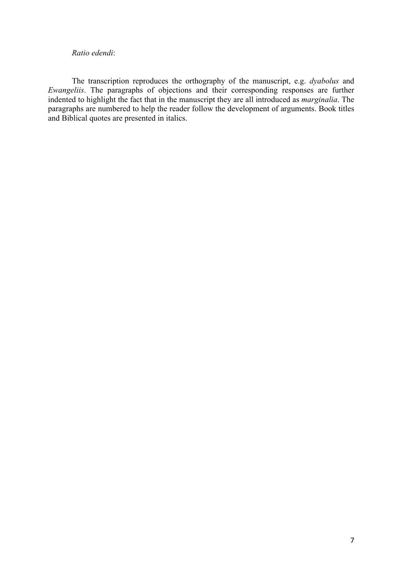#### *Ratio edendi*:

The transcription reproduces the orthography of the manuscript, e.g. *dyabolus* and *Ewangeliis*. The paragraphs of objections and their corresponding responses are further indented to highlight the fact that in the manuscript they are all introduced as *marginalia*. The paragraphs are numbered to help the reader follow the development of arguments. Book titles and Biblical quotes are presented in italics.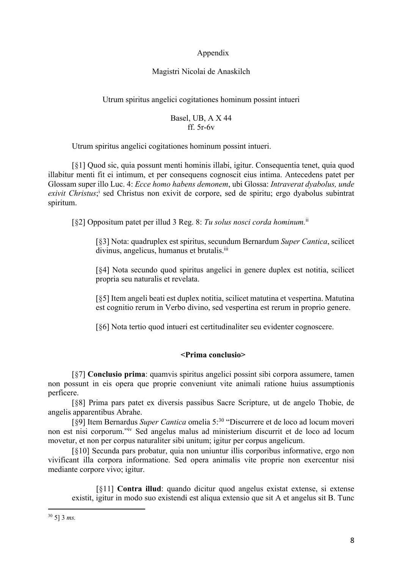## Appendix

## Magistri Nicolai de Anaskilch

## Utrum spiritus angelici cogitationes hominum possint intueri

### Basel, UB, A X 44 ff. 5r-6v

Utrum spiritus angelici cogitationes hominum possint intueri.

[§1] Quod sic, quia possunt menti hominis illabi, igitur. Consequentia tenet, quia quod illabitur menti fit ei intimum, et per consequens cognoscit eius intima. Antecedens patet per Glossam super illo Luc. 4: *Ecce homo habens demonem*, ubi Glossa: *Intraverat dyabolus, unde*  exivit Christus;<sup>i</sup> sed Christus non exivit de corpore, sed de spiritu; ergo dyabolus subintrat spiritum.

[§2] Oppositum patet per illud 3 Reg. 8: *Tu solus nosci corda hominum.*ii

[§3] Nota: quadruplex est spiritus, secundum Bernardum *Super Cantica*, scilicet divinus, angelicus, humanus et brutalis.<sup>iii</sup>

[§4] Nota secundo quod spiritus angelici in genere duplex est notitia, scilicet propria seu naturalis et revelata.

[§5] Item angeli beati est duplex notitia, scilicet matutina et vespertina. Matutina est cognitio rerum in Verbo divino, sed vespertina est rerum in proprio genere.

[§6] Nota tertio quod intueri est certitudinaliter seu evidenter cognoscere.

## **<Prima conclusio>**

[§7] **Conclusio prima**: quamvis spiritus angelici possint sibi corpora assumere, tamen non possunt in eis opera que proprie conveniunt vite animali ratione huius assumptionis perficere.

[§8] Prima pars patet ex diversis passibus Sacre Scripture, ut de angelo Thobie, de angelis apparentibus Abrahe.

[§9] Item Bernardus *Super Cantica* omelia 5:30 "Discurrere et de loco ad locum moveri non est nisi corporum."iv Sed angelus malus ad ministerium discurrit et de loco ad locum movetur, et non per corpus naturaliter sibi unitum; igitur per corpus angelicum.

[§10] Secunda pars probatur, quia non uniuntur illis corporibus informative, ergo non vivificant illa corpora informatione. Sed opera animalis vite proprie non exercentur nisi mediante corpore vivo; igitur.

[§11] **Contra illud**: quando dicitur quod angelus existat extense, si extense existit, igitur in modo suo existendi est aliqua extensio que sit A et angelus sit B. Tunc

<sup>30</sup> 5] 3 *ms.*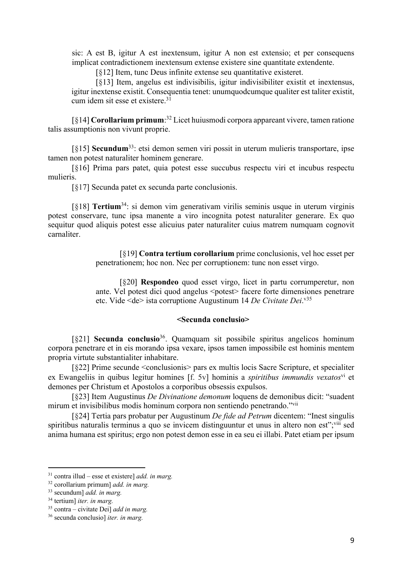sic: A est B, igitur A est inextensum, igitur A non est extensio; et per consequens implicat contradictionem inextensum extense existere sine quantitate extendente.

[§12] Item, tunc Deus infinite extense seu quantitative existeret.

[§13] Item, angelus est indivisibilis, igitur indivisibiliter existit et inextensus, igitur inextense existit. Consequentia tenet: unumquodcumque qualiter est taliter existit, cum idem sit esse et existere.31

[§14] **Corollarium primum**: <sup>32</sup> Licet huiusmodi corpora appareant vivere, tamen ratione talis assumptionis non vivunt proprie.

[§15] **Secundum**33: etsi demon semen viri possit in uterum mulieris transportare, ipse tamen non potest naturaliter hominem generare.

[§16] Prima pars patet, quia potest esse succubus respectu viri et incubus respectu mulieris.

[§17] Secunda patet ex secunda parte conclusionis.

[§18] **Tertium**34: si demon vim generativam virilis seminis usque in uterum virginis potest conservare, tunc ipsa manente a viro incognita potest naturaliter generare. Ex quo sequitur quod aliquis potest esse alicuius pater naturaliter cuius matrem numquam cognovit carnaliter.

> [§19] **Contra tertium corollarium** prime conclusionis, vel hoc esset per penetrationem; hoc non. Nec per corruptionem: tunc non esset virgo.

> [§20] **Respondeo** quod esset virgo, licet in partu corrumperetur, non ante. Vel potest dici quod angelus <potest> facere forte dimensiones penetrare etc. Vide <de> ista corruptione Augustinum 14 *De Civitate Dei*. v35

#### **<Secunda conclusio>**

[§21] **Secunda conclusio**36. Quamquam sit possibile spiritus angelicos hominum corpora penetrare et in eis morando ipsa vexare, ipsos tamen impossibile est hominis mentem propria virtute substantialiter inhabitare.

[§22] Prime secunde <conclusionis> pars ex multis locis Sacre Scripture, et specialiter ex Ewangeliis in quibus legitur homines [f. 5v] hominis a *spiritibus immundis vexatos*<sup>vi</sup> et demones per Christum et Apostolos a corporibus obsessis expulsos.

[§23] Item Augustinus *De Divinatione demonum* loquens de demonibus dicit: "suadent mirum et invisibilibus modis hominum corpora non sentiendo penetrando."vii

[§24] Tertia pars probatur per Augustinum *De fide ad Petrum* dicentem: "Inest singulis spiritibus naturalis terminus a quo se invicem distinguuntur et unus in altero non est"; viii sed anima humana est spiritus; ergo non potest demon esse in ea seu ei illabi. Patet etiam per ipsum

<sup>31</sup> contra illud – esse et existere] *add. in marg.* 

<sup>32</sup> corollarium primum] *add. in marg.* 

<sup>33</sup> secundum] *add. in marg.* 

<sup>34</sup> tertium] *iter. in marg.* 

<sup>35</sup> contra – civitate Dei] *add in marg.* 

<sup>36</sup> secunda conclusio] *iter. in marg.*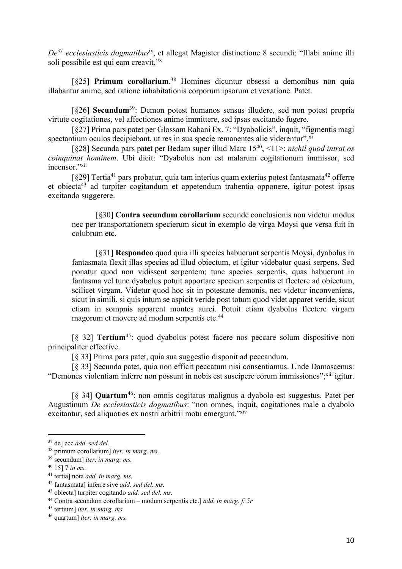*De*<sup>37</sup> *ecclesiasticis dogmatibus*ix, et allegat Magister distinctione 8 secundi: "Illabi anime illi soli possibile est qui eam creavit."x

[§25] **Primum corollarium**.<sup>38</sup> Homines dicuntur obsessi a demonibus non quia illabantur anime, sed ratione inhabitationis corporum ipsorum et vexatione. Patet.

[§26] **Secundum**39: Demon potest humanos sensus illudere, sed non potest propria virtute cogitationes, vel affectiones anime immittere, sed ipsas excitando fugere.

[§27] Prima pars patet per Glossam Rabani Ex. 7: "Dyabolicis", inquit, "figmentis magi spectantium oculos decipiebant, ut res in sua specie remanentes alie viderentur".xi

[§28] Secunda pars patet per Bedam super illud Marc 1540, <11>: *nichil quod intrat os coinquinat hominem*. Ubi dicit: "Dyabolus non est malarum cogitationum immissor, sed incensor."xii

[ $§29$ ] Tertia<sup>41</sup> pars probatur, quia tam interius quam exterius potest fantasmata<sup>42</sup> offerre et obiecta43 ad turpiter cogitandum et appetendum trahentia opponere, igitur potest ipsas excitando suggerere.

[§30] **Contra secundum corollarium** secunde conclusionis non videtur modus nec per transportationem specierum sicut in exemplo de virga Moysi que versa fuit in colubrum etc.

[§31] **Respondeo** quod quia illi species habuerunt serpentis Moysi, dyabolus in fantasmata flexit illas species ad illud obiectum, et igitur videbatur quasi serpens. Sed ponatur quod non vidissent serpentem; tunc species serpentis, quas habuerunt in fantasma vel tunc dyabolus potuit apportare speciem serpentis et flectere ad obiectum, scilicet virgam. Videtur quod hoc sit in potestate demonis, nec videtur inconveniens, sicut in simili, si quis intum se aspicit veride post totum quod videt apparet veride, sicut etiam in sompnis apparent montes aurei. Potuit etiam dyabolus flectere virgam magorum et movere ad modum serpentis etc.44

[§ 32] **Tertium**45: quod dyabolus potest facere nos peccare solum dispositive non principaliter effective.

[§ 33] Prima pars patet, quia sua suggestio disponit ad peccandum.

[§ 33] Secunda patet, quia non efficit peccatum nisi consentiamus. Unde Damascenus: "Demones violentiam inferre non possunt in nobis est suscipere eorum immissiones";<sup>xiii</sup> igitur.

[§ 34] **Quartum**46: non omnis cogitatus malignus a dyabolo est suggestus. Patet per Augustinum *De ecclesiasticis dogmatibus*: "non omnes, inquit, cogitationes male a dyabolo excitantur, sed aliquoties ex nostri arbitrii motu emergunt."xiv

<sup>37</sup> de] ecc *add. sed del.*

<sup>38</sup> primum corollarium] *iter. in marg. ms.*

<sup>39</sup> secundum] *iter. in marg. ms.*

<sup>40</sup> 15] 7 *in ms.*

<sup>41</sup> tertia] nota *add. in marg. ms.*

<sup>42</sup> fantasmata] inferre sive *add. sed del. ms.*

<sup>43</sup> obiecta] turpiter cogitando *add. sed del. ms.*

<sup>44</sup> Contra secundum corollarium – modum serpentis etc.] *add. in marg. f. 5r*

<sup>45</sup> tertium] *iter. in marg. ms.*

<sup>46</sup> quartum] *iter. in marg. ms.*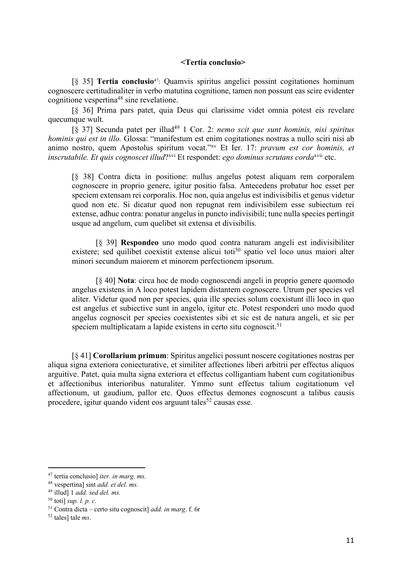#### **<Tertia conclusio>**

[§ 35] **Tertia conclusio**47: Quamvis spiritus angelici possint cogitationes hominum cognoscere certitudinaliter in verbo matutina cognitione, tamen non possunt eas scire evidenter cognitione vespertina48 sine revelatione.

[§ 36] Prima pars patet, quia Deus qui clarissime videt omnia potest eis revelare quecumque wult.

[§ 37] Secunda patet per illud49 1 Cor. 2: *nemo scit que sunt hominis, nisi spiritus hominis qui est in illo.* Glossa: "manifestum est enim cogitationes nostras a nullo sciri nisi ab animo nostro, quem Apostolus spiritum vocat."xv Et Ier. 17: *pravum est cor hominis, et inscrutabile. Et quis cognoscet illud*?<sup>xvi</sup> Et respondet: *ego dominus scrutans corda*<sup>xvii</sup> etc.

[§ 38] Contra dicta in positione: nullus angelus potest aliquam rem corporalem cognoscere in proprio genere, igitur positio falsa. Antecedens probatur hoc esset per speciem extensam rei corporalis. Hoc non, quia angelus est indivisibilis et genus videtur quod non etc. Si dicatur quod non repugnat rem indivisibilem esse subiectum rei extense, adhuc contra: ponatur angelus in puncto indivisibili; tunc nulla species pertingit usque ad angelum, cum quelibet sit extensa et divisibilis.

[§ 39] **Respondeo** uno modo quod contra naturam angeli est indivisibiliter existere; sed quilibet coexistit extense alicui toti<sup>50</sup> spatio vel loco unus maiori alter minori secundum maiorem et minorem perfectionem ipsorum.

[§ 40] **Nota**: circa hoc de modo cognoscendi angeli in proprio genere quomodo angelus existens in A loco potest lapidem distantem cognoscere. Utrum per species vel aliter. Videtur quod non per species, quia ille species solum coexistunt illi loco in quo est angelus et subiective sunt in angelo, igitur etc. Potest responderi uno modo quod angelus cognoscit per species coexistentes sibi et sic est de natura angeli, et sic per speciem multiplicatam a lapide existens in certo situ cognoscit.<sup>51</sup>

[§ 41] **Corollarium primum**: Spiritus angelici possunt noscere cogitationes nostras per aliqua signa exteriora coniecturative, et similiter affectiones liberi arbitrii per effectus aliquos arguitive. Patet, quia multa signa exteriora et effectus colligantiam habent cum cogitationibus et affectionibus interioribus naturaliter. Ymmo sunt effectus talium cogitationum vel affectionum, ut gaudium, pallor etc. Quos effectus demones cognoscunt a talibus causis procedere, igitur quando vident eos arguunt tales<sup>52</sup> causas esse.

<sup>47</sup> tertia conclusio] *iter. in marg. ms.*

<sup>48</sup> vespertina] sint *add. et del. ms.*

<sup>49</sup> illud] 1 *add. sed del. ms.*

<sup>50</sup> toti] *sup. l. p. c.*

<sup>51</sup> Contra dicta – certo situ cognoscit] *add. in marg*. f. 6r

<sup>52</sup> tales] tale *ms*.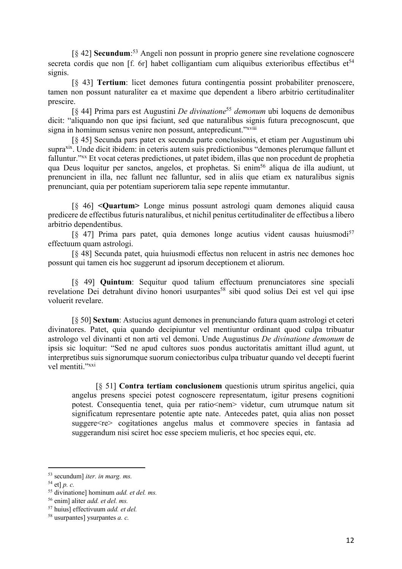[§ 42] **Secundum**: <sup>53</sup> Angeli non possunt in proprio genere sine revelatione cognoscere secreta cordis que non  $[f. 6r]$  habet colligantiam cum aliquibus exterioribus effectibus et<sup>54</sup> signis.

[§ 43] **Tertium**: licet demones futura contingentia possint probabiliter prenoscere, tamen non possunt naturaliter ea et maxime que dependent a libero arbitrio certitudinaliter prescire.

[§ 44] Prima pars est Augustini *De divinatione*<sup>55</sup> *demonum* ubi loquens de demonibus dicit: "aliquando non que ipsi faciunt, sed que naturalibus signis futura precognoscunt, que signa in hominum sensus venire non possunt, antepredicunt."xviii

[§ 45] Secunda pars patet ex secunda parte conclusionis, et etiam per Augustinum ubi supraxix. Unde dicit ibidem: in ceteris autem suis predictionibus "demones plerumque fallunt et falluntur."xx Et vocat ceteras predictiones, ut patet ibidem, illas que non procedunt de prophetia qua Deus loquitur per sanctos, angelos, et prophetas. Si enim<sup>56</sup> aliqua de illa audiunt, ut prenuncient in illa, nec fallunt nec falluntur, sed in aliis que etiam ex naturalibus signis prenunciant, quia per potentiam superiorem talia sepe repente immutantur.

[§ 46] **<Quartum>** Longe minus possunt astrologi quam demones aliquid causa predicere de effectibus futuris naturalibus, et nichil penitus certitudinaliter de effectibus a libero arbitrio dependentibus.

 $[8, 47]$  Prima pars patet, quia demones longe acutius vident causas huiusmodi<sup>57</sup> effectuum quam astrologi.

[§ 48] Secunda patet, quia huiusmodi effectus non relucent in astris nec demones hoc possunt qui tamen eis hoc suggerunt ad ipsorum deceptionem et aliorum.

[§ 49] **Quintum**: Sequitur quod talium effectuum prenunciatores sine speciali revelatione Dei detrahunt divino honori usurpantes<sup>58</sup> sibi quod solius Dei est vel qui ipse voluerit revelare.

[§ 50] **Sextum**: Astucius agunt demones in prenunciando futura quam astrologi et ceteri divinatores. Patet, quia quando decipiuntur vel mentiuntur ordinant quod culpa tribuatur astrologo vel divinanti et non arti vel demoni. Unde Augustinus *De divinatione demonum* de ipsis sic loquitur: "Sed ne apud cultores suos pondus auctoritatis amittant illud agunt, ut interpretibus suis signorumque suorum coniectoribus culpa tribuatur quando vel decepti fuerint vel mentiti."xxi

[§ 51] **Contra tertiam conclusionem** questionis utrum spiritus angelici, quia angelus presens speciei potest cognoscere representatum, igitur presens cognitioni potest. Consequentia tenet, quia per ratio<nem> videtur, cum utrumque natum sit significatum representare potentie apte nate. Antecedes patet, quia alias non posset suggere<re> cogitationes angelus malus et commovere species in fantasia ad suggerandum nisi sciret hoc esse speciem mulieris, et hoc species equi, etc.

<sup>53</sup> secundum] *iter. in marg. ms.*

<sup>54</sup> et] *p. c.*

<sup>55</sup> divinatione] hominum *add. et del. ms.*

<sup>56</sup> enim] aliter *add. et del. ms.*

<sup>57</sup> huius] effectivuum *add. et del.*

<sup>58</sup> usurpantes] ysurpantes *a. c.*